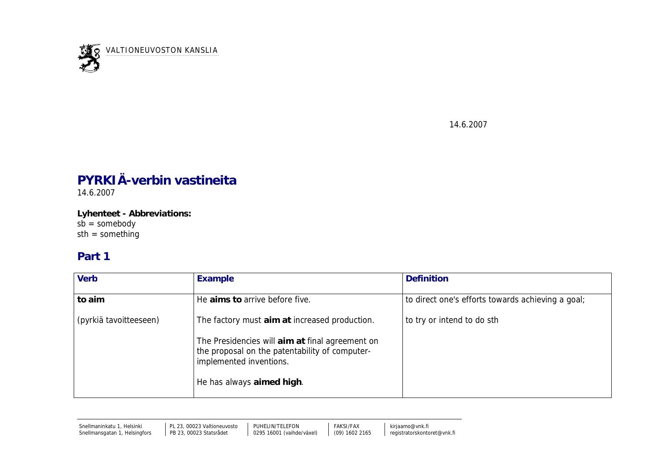

14.6.2007

## **PYRKIÄ-verbin vastineita**

14.6.2007

**Lyhenteet - Abbreviations:**  $s\bar{b}$  = somebody sth = something

## **Part 1**

| Verb                   | Example                                                                                                                      | <b>Definition</b>                                 |
|------------------------|------------------------------------------------------------------------------------------------------------------------------|---------------------------------------------------|
| to aim                 | He aims to arrive before five.                                                                                               | to direct one's efforts towards achieving a goal; |
| (pyrkiä tavoitteeseen) | The factory must aim at increased production.                                                                                | to try or intend to do sth                        |
|                        | The Presidencies will aim at final agreement on<br>the proposal on the patentability of computer-<br>implemented inventions. |                                                   |
|                        | He has always aimed high.                                                                                                    |                                                   |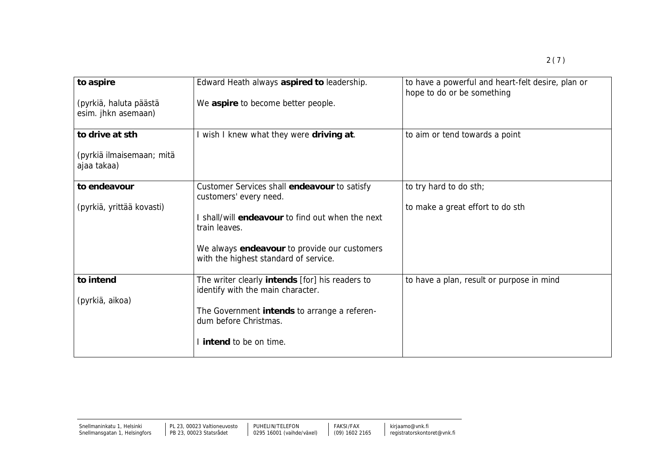| to aspire                                     | Edward Heath always aspired to leadership.                                            | to have a powerful and heart-felt desire, plan or<br>hope to do or be something |
|-----------------------------------------------|---------------------------------------------------------------------------------------|---------------------------------------------------------------------------------|
| (pyrkiä, haluta päästä<br>esim. jhkn asemaan) | We aspire to become better people.                                                    |                                                                                 |
| to drive at sth                               | I wish I knew what they were driving at.                                              | to aim or tend towards a point                                                  |
| (pyrkiä ilmaisemaan; mitä<br>ajaa takaa)      |                                                                                       |                                                                                 |
| to endeavour                                  | Customer Services shall endeavour to satisfy<br>customers' every need.                | to try hard to do sth;                                                          |
| (pyrkiä, yrittää kovasti)                     |                                                                                       | to make a great effort to do sth                                                |
|                                               | I shall/will endeavour to find out when the next<br>train leaves.                     |                                                                                 |
|                                               | We always endeavour to provide our customers<br>with the highest standard of service. |                                                                                 |
| to intend                                     | The writer clearly intends [for] his readers to<br>identify with the main character.  | to have a plan, result or purpose in mind                                       |
| (pyrkiä, aikoa)                               |                                                                                       |                                                                                 |
|                                               | The Government intends to arrange a referen-<br>dum before Christmas.                 |                                                                                 |
|                                               | I intend to be on time.                                                               |                                                                                 |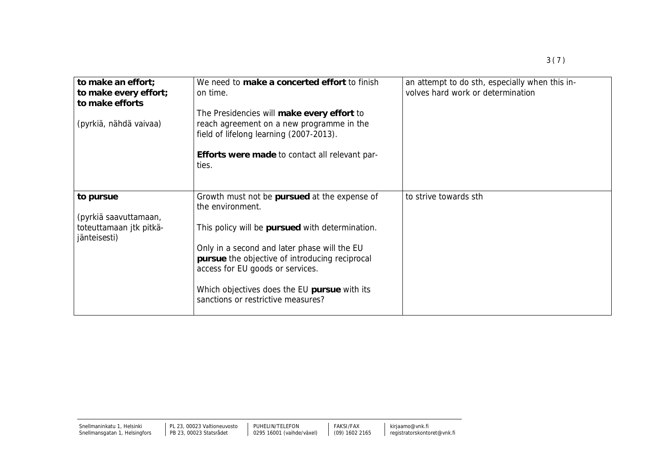| to make an effort;                       | We need to make a concerted effort to finish                                                                                       | an attempt to do sth, especially when this in- |
|------------------------------------------|------------------------------------------------------------------------------------------------------------------------------------|------------------------------------------------|
| to make every effort;<br>to make efforts | on time.                                                                                                                           | volves hard work or determination              |
|                                          | The Presidencies will make every effort to                                                                                         |                                                |
| (pyrkiä, nähdä vaivaa)                   | reach agreement on a new programme in the<br>field of lifelong learning (2007-2013).                                               |                                                |
|                                          | Efforts were made to contact all relevant par-<br>ties.                                                                            |                                                |
| to pursue                                | Growth must not be pursued at the expense of                                                                                       | to strive towards sth                          |
|                                          | the environment.                                                                                                                   |                                                |
| (pyrkiä saavuttamaan,                    |                                                                                                                                    |                                                |
| toteuttamaan jtk pitkä-<br>jänteisesti)  | This policy will be pursued with determination.                                                                                    |                                                |
|                                          | Only in a second and later phase will the EU<br>pursue the objective of introducing reciprocal<br>access for EU goods or services. |                                                |
|                                          |                                                                                                                                    |                                                |

Which objectives does the EU **pursue** with its

sanctions or restrictive measures?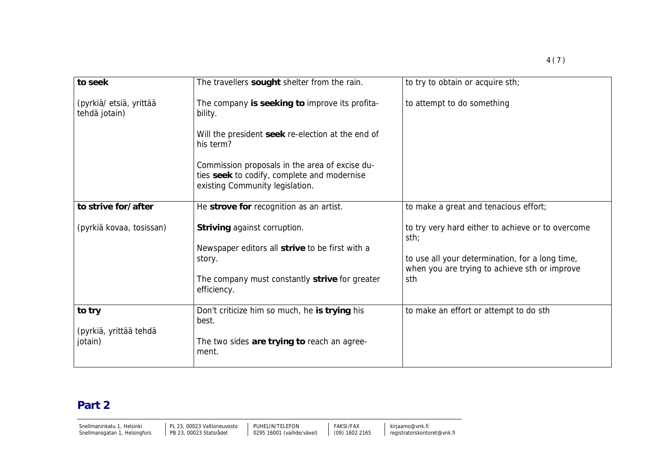| to seek                                  | The travellers sought shelter from the rain.                                                                                     | to try to obtain or acquire sth;                                                                 |
|------------------------------------------|----------------------------------------------------------------------------------------------------------------------------------|--------------------------------------------------------------------------------------------------|
| (pyrkiä/ etsiä, yrittää<br>tehdä jotain) | The company is seeking to improve its profita-<br>bility.                                                                        | to attempt to do something                                                                       |
|                                          | Will the president seek re-election at the end of<br>his term?                                                                   |                                                                                                  |
|                                          | Commission proposals in the area of excise du-<br>ties seek to codify, complete and modernise<br>existing Community legislation. |                                                                                                  |
| to strive for/after                      | He strove for recognition as an artist.                                                                                          | to make a great and tenacious effort;                                                            |
| (pyrkiä kovaa, tosissan)                 | Striving against corruption.                                                                                                     | to try very hard either to achieve or to overcome<br>sth;                                        |
|                                          | Newspaper editors all strive to be first with a<br>story.                                                                        | to use all your determination, for a long time,<br>when you are trying to achieve sth or improve |
|                                          | The company must constantly strive for greater<br>efficiency.                                                                    | sth                                                                                              |
| to try                                   | Don't criticize him so much, he is trying his<br>best.                                                                           | to make an effort or attempt to do sth                                                           |
| (pyrkiä, yrittää tehdä<br>jotain)        | The two sides are trying to reach an agree-<br>ment.                                                                             |                                                                                                  |

## **Part 2**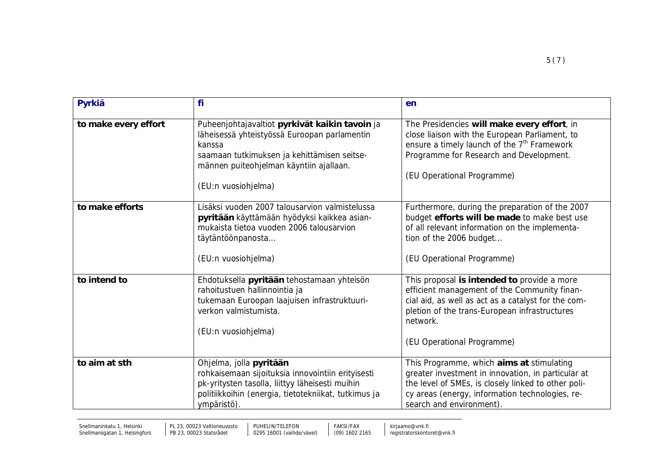| Pyrkiä               | fi                                                                                                                                                                                                                        | en                                                                                                                                                                                                                                            |
|----------------------|---------------------------------------------------------------------------------------------------------------------------------------------------------------------------------------------------------------------------|-----------------------------------------------------------------------------------------------------------------------------------------------------------------------------------------------------------------------------------------------|
|                      |                                                                                                                                                                                                                           |                                                                                                                                                                                                                                               |
| to make every effort | Puheenjohtajavaltiot pyrkivät kaikin tavoin ja<br>läheisessä yhteistyössä Euroopan parlamentin<br>kanssa<br>saamaan tutkimuksen ja kehittämisen seitse-<br>männen puiteohjelman käyntiin ajallaan.<br>(EU:n vuosiohjelma) | The Presidencies will make every effort, in<br>close liaison with the European Parliament, to<br>ensure a timely launch of the 7 <sup>th</sup> Framework<br>Programme for Research and Development.<br>(EU Operational Programme)             |
| to make efforts      | Lisäksi vuoden 2007 talousarvion valmistelussa<br>pyritään käyttämään hyödyksi kaikkea asian-<br>mukaista tietoa vuoden 2006 talousarvion<br>täytäntöönpanosta<br>(EU:n vuosiohjelma)                                     | Furthermore, during the preparation of the 2007<br>budget efforts will be made to make best use<br>of all relevant information on the implementa-<br>tion of the 2006 budget<br>(EU Operational Programme)                                    |
| to intend to         | Ehdotuksella pyritään tehostamaan yhteisön<br>rahoitustuen hallinnointia ja<br>tukemaan Euroopan laajuisen infrastruktuuri-<br>verkon valmistumista.<br>(EU:n vuosiohjelma)                                               | This proposal is intended to provide a more<br>efficient management of the Community finan-<br>cial aid, as well as act as a catalyst for the com-<br>pletion of the trans-European infrastructures<br>network.<br>(EU Operational Programme) |
| to aim at sth        | Ohjelma, jolla pyritään<br>rohkaisemaan sijoituksia innovointiin erityisesti<br>pk-yritysten tasolla, liittyy läheisesti muihin<br>politiikkoihin (energia, tietotekniikat, tutkimus ja<br>ympäristö).                    | This Programme, which aims at stimulating<br>greater investment in innovation, in particular at<br>the level of SMEs, is closely linked to other poli-<br>cy areas (energy, information technologies, re-<br>search and environment).         |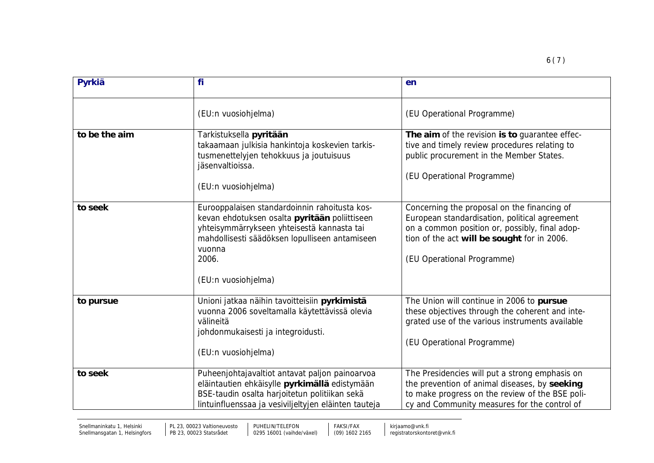| Pyrkiä        | fi                                                                                                                                                                                                                                       | en                                                                                                                                                                                                                          |
|---------------|------------------------------------------------------------------------------------------------------------------------------------------------------------------------------------------------------------------------------------------|-----------------------------------------------------------------------------------------------------------------------------------------------------------------------------------------------------------------------------|
|               | (EU:n vuosiohjelma)                                                                                                                                                                                                                      | (EU Operational Programme)                                                                                                                                                                                                  |
| to be the aim | Tarkistuksella pyritään<br>takaamaan julkisia hankintoja koskevien tarkis-<br>tusmenettelyjen tehokkuus ja joutuisuus<br>jäsenvaltioissa.<br>(EU:n vuosiohjelma)                                                                         | The aim of the revision is to guarantee effec-<br>tive and timely review procedures relating to<br>public procurement in the Member States.<br>(EU Operational Programme)                                                   |
| to seek       | Eurooppalaisen standardoinnin rahoitusta kos-<br>kevan ehdotuksen osalta pyritään poliittiseen<br>yhteisymmärrykseen yhteisestä kannasta tai<br>mahdollisesti säädöksen lopulliseen antamiseen<br>vuonna<br>2006.<br>(EU:n vuosiohjelma) | Concerning the proposal on the financing of<br>European standardisation, political agreement<br>on a common position or, possibly, final adop-<br>tion of the act will be sought for in 2006.<br>(EU Operational Programme) |
| to pursue     | Unioni jatkaa näihin tavoitteisiin pyrkimistä<br>vuonna 2006 soveltamalla käytettävissä olevia<br>välineitä<br>johdonmukaisesti ja integroidusti.<br>(EU:n vuosiohjelma)                                                                 | The Union will continue in 2006 to pursue<br>these objectives through the coherent and inte-<br>grated use of the various instruments available<br>(EU Operational Programme)                                               |
| to seek       | Puheenjohtajavaltiot antavat paljon painoarvoa<br>eläintautien ehkäisylle pyrkimällä edistymään<br>BSE-taudin osalta harjoitetun politiikan sekä<br>lintuinfluenssaa ja vesiviljeltyjen eläinten tauteja                                 | The Presidencies will put a strong emphasis on<br>the prevention of animal diseases, by seeking<br>to make progress on the review of the BSE poli-<br>cy and Community measures for the control of                          |